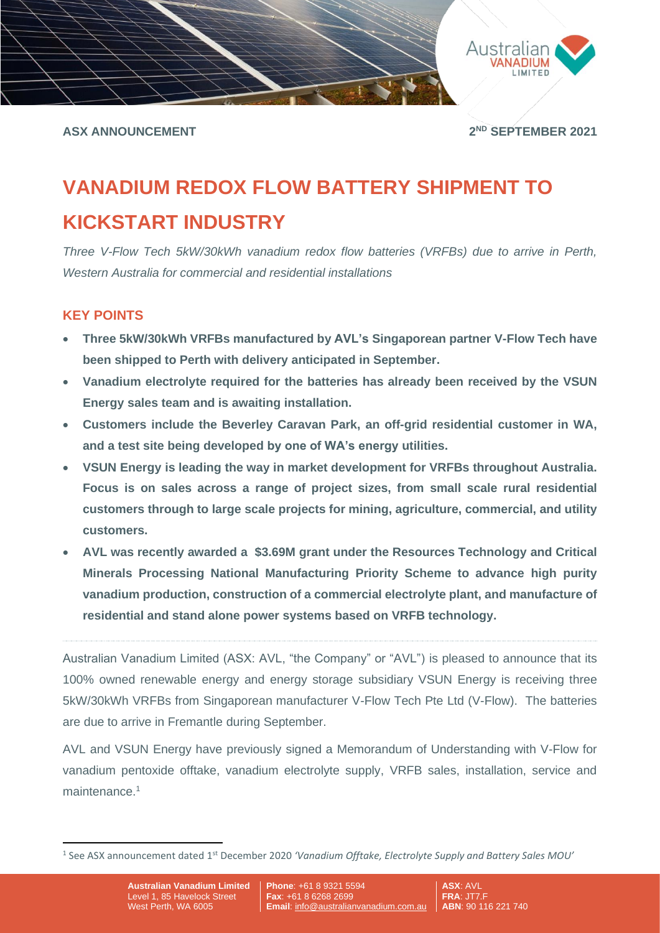

**ASX ANNOUNCEMENT 2**

**ND SEPTEMBER 2021**

# **VANADIUM REDOX FLOW BATTERY SHIPMENT TO KICKSTART INDUSTRY**

*Three V-Flow Tech 5kW/30kWh vanadium redox flow batteries (VRFBs) due to arrive in Perth, Western Australia for commercial and residential installations*

## **KEY POINTS**

- **Three 5kW/30kWh VRFBs manufactured by AVL's Singaporean partner V-Flow Tech have been shipped to Perth with delivery anticipated in September.**
- **Vanadium electrolyte required for the batteries has already been received by the VSUN Energy sales team and is awaiting installation.**
- **Customers include the Beverley Caravan Park, an off-grid residential customer in WA, and a test site being developed by one of WA's energy utilities.**
- **VSUN Energy is leading the way in market development for VRFBs throughout Australia. Focus is on sales across a range of project sizes, from small scale rural residential customers through to large scale projects for mining, agriculture, commercial, and utility customers.**
- **AVL was recently awarded a \$3.69M grant under the Resources Technology and Critical Minerals Processing National Manufacturing Priority Scheme to advance high purity vanadium production, construction of a commercial electrolyte plant, and manufacture of residential and stand alone power systems based on VRFB technology.**

Australian Vanadium Limited (ASX: AVL, "the Company" or "AVL") is pleased to announce that its 100% owned renewable energy and energy storage subsidiary VSUN Energy is receiving three 5kW/30kWh VRFBs from Singaporean manufacturer V-Flow Tech Pte Ltd (V-Flow). The batteries are due to arrive in Fremantle during September.

AVL and VSUN Energy have previously signed a Memorandum of Understanding with V-Flow for vanadium pentoxide offtake, vanadium electrolyte supply, VRFB sales, installation, service and maintenance.<sup>1</sup>

<sup>&</sup>lt;sup>1</sup> See ASX announcement dated 1<sup>st</sup> December 2020 'Vanadium Offtake, Electrolyte Supply and Battery Sales MOU'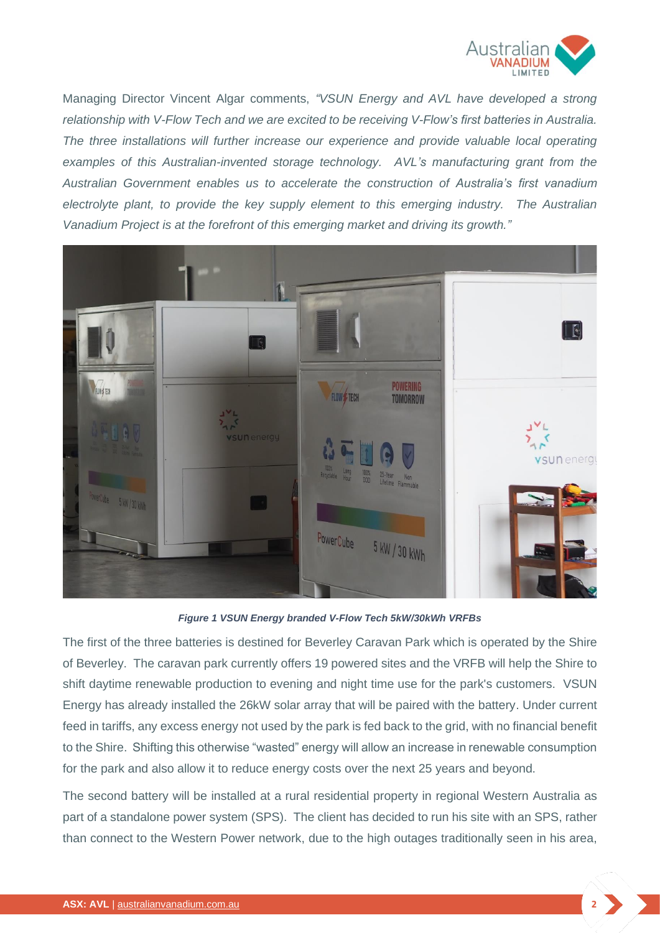

Managing Director Vincent Algar comments, *"VSUN Energy and AVL have developed a strong relationship with V-Flow Tech and we are excited to be receiving V-Flow's first batteries in Australia. The three installations will further increase our experience and provide valuable local operating examples of this Australian-invented storage technology. AVL's manufacturing grant from the Australian Government enables us to accelerate the construction of Australia's first vanadium electrolyte plant, to provide the key supply element to this emerging industry. The Australian Vanadium Project is at the forefront of this emerging market and driving its growth."*



#### *Figure 1 VSUN Energy branded V-Flow Tech 5kW/30kWh VRFBs*

The first of the three batteries is destined for Beverley Caravan Park which is operated by the Shire of Beverley. The caravan park currently offers 19 powered sites and the VRFB will help the Shire to shift daytime renewable production to evening and night time use for the park's customers. VSUN Energy has already installed the 26kW solar array that will be paired with the battery. Under current feed in tariffs, any excess energy not used by the park is fed back to the grid, with no financial benefit to the Shire. Shifting this otherwise "wasted" energy will allow an increase in renewable consumption for the park and also allow it to reduce energy costs over the next 25 years and beyond.

The second battery will be installed at a rural residential property in regional Western Australia as part of a standalone power system (SPS). The client has decided to run his site with an SPS, rather than connect to the Western Power network, due to the high outages traditionally seen in his area,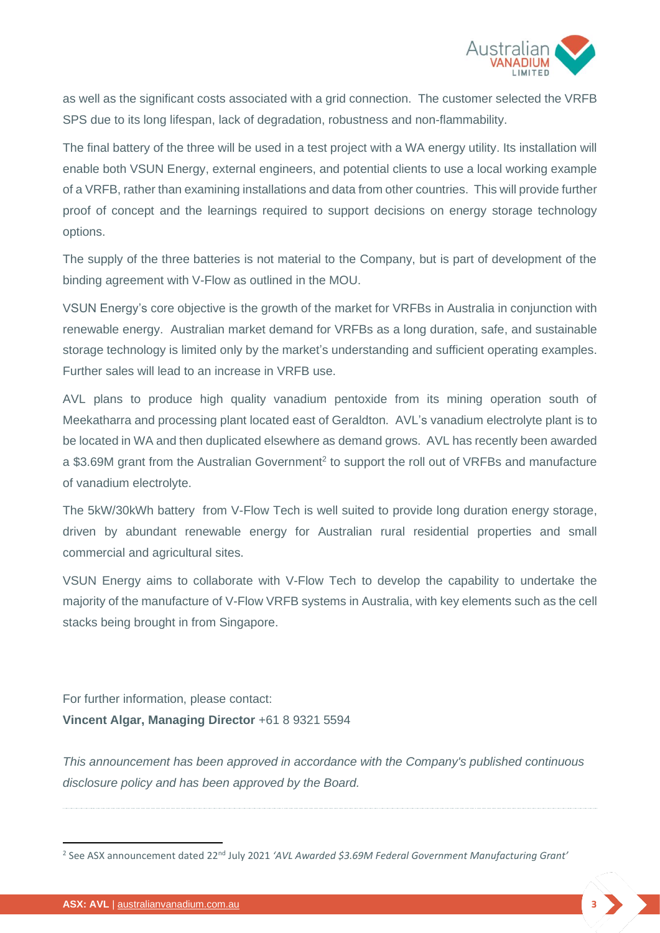

as well as the significant costs associated with a grid connection. The customer selected the VRFB SPS due to its long lifespan, lack of degradation, robustness and non-flammability.

The final battery of the three will be used in a test project with a WA energy utility. Its installation will enable both VSUN Energy, external engineers, and potential clients to use a local working example of a VRFB, rather than examining installations and data from other countries. This will provide further proof of concept and the learnings required to support decisions on energy storage technology options.

The supply of the three batteries is not material to the Company, but is part of development of the binding agreement with V-Flow as outlined in the MOU.

VSUN Energy's core objective is the growth of the market for VRFBs in Australia in conjunction with renewable energy. Australian market demand for VRFBs as a long duration, safe, and sustainable storage technology is limited only by the market's understanding and sufficient operating examples. Further sales will lead to an increase in VRFB use.

AVL plans to produce high quality vanadium pentoxide from its mining operation south of Meekatharra and processing plant located east of Geraldton. AVL's vanadium electrolyte plant is to be located in WA and then duplicated elsewhere as demand grows. AVL has recently been awarded a \$3.69M grant from the Australian Government<sup>2</sup> to support the roll out of VRFBs and manufacture of vanadium electrolyte.

The 5kW/30kWh battery from V-Flow Tech is well suited to provide long duration energy storage, driven by abundant renewable energy for Australian rural residential properties and small commercial and agricultural sites.

VSUN Energy aims to collaborate with V-Flow Tech to develop the capability to undertake the majority of the manufacture of V-Flow VRFB systems in Australia, with key elements such as the cell stacks being brought in from Singapore.

For further information, please contact: **Vincent Algar, Managing Director** +61 8 9321 5594

*This announcement has been approved in accordance with the Company's published continuous disclosure policy and has been approved by the Board.*

<sup>&</sup>lt;sup>2</sup> See ASX announcement dated 22<sup>nd</sup> July 2021 'AVL Awarded \$3.69M Federal Government Manufacturing Grant'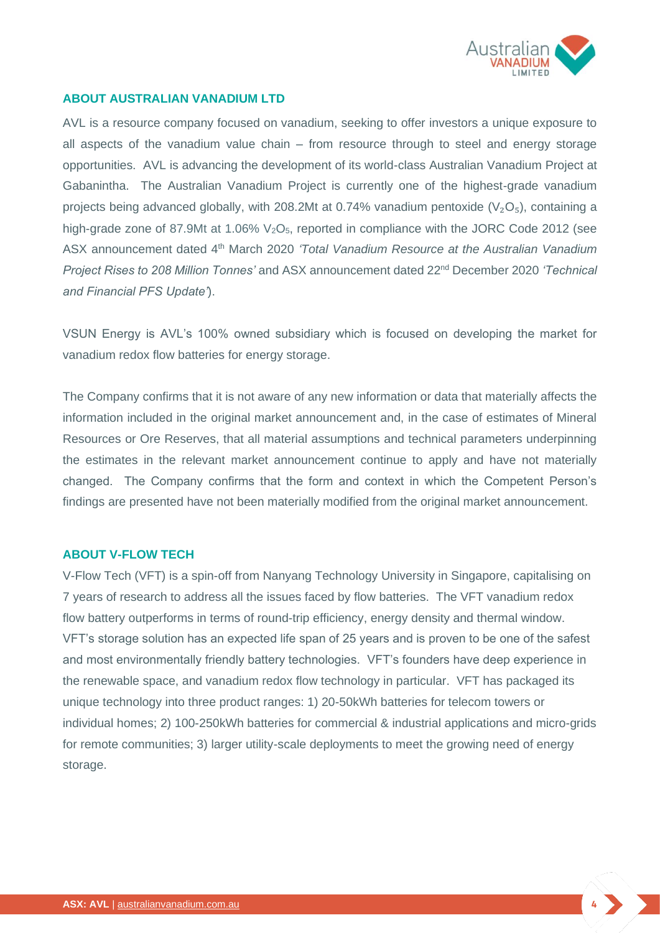

#### **ABOUT AUSTRALIAN VANADIUM LTD**

AVL is a resource company focused on vanadium, seeking to offer investors a unique exposure to all aspects of the vanadium value chain – from resource through to steel and energy storage opportunities. AVL is advancing the development of its world-class Australian Vanadium Project at Gabanintha. The Australian Vanadium Project is currently one of the highest-grade vanadium projects being advanced globally, with 208.2Mt at 0.74% vanadium pentoxide ( $V_2O_5$ ), containing a high-grade zone of 87.9Mt at 1.06%  $V_2O_5$ , reported in compliance with the JORC Code 2012 (see ASX announcement dated 4th March 2020 *'Total Vanadium Resource at the Australian Vanadium Project Rises to 208 Million Tonnes'* and ASX announcement dated 22nd December 2020 *'Technical and Financial PFS Update'*).

VSUN Energy is AVL's 100% owned subsidiary which is focused on developing the market for vanadium redox flow batteries for energy storage.

The Company confirms that it is not aware of any new information or data that materially affects the information included in the original market announcement and, in the case of estimates of Mineral Resources or Ore Reserves, that all material assumptions and technical parameters underpinning the estimates in the relevant market announcement continue to apply and have not materially changed. The Company confirms that the form and context in which the Competent Person's findings are presented have not been materially modified from the original market announcement.

#### **ABOUT V-FLOW TECH**

V-Flow Tech (VFT) is a spin-off from Nanyang Technology University in Singapore, capitalising on 7 years of research to address all the issues faced by flow batteries. The VFT vanadium redox flow battery outperforms in terms of round-trip efficiency, energy density and thermal window. VFT's storage solution has an expected life span of 25 years and is proven to be one of the safest and most environmentally friendly battery technologies. VFT's founders have deep experience in the renewable space, and vanadium redox flow technology in particular. VFT has packaged its unique technology into three product ranges: 1) 20-50kWh batteries for telecom towers or individual homes; 2) 100-250kWh batteries for commercial & industrial applications and micro-grids for remote communities; 3) larger utility-scale deployments to meet the growing need of energy storage.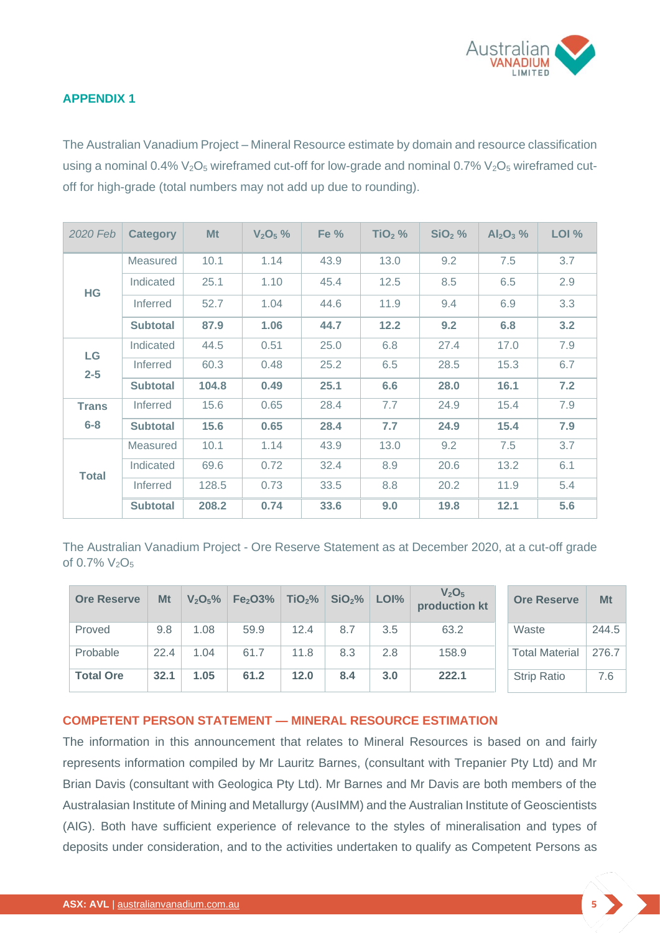

### **APPENDIX 1**

The Australian Vanadium Project – Mineral Resource estimate by domain and resource classification using a nominal  $0.4\%$   $V_2O_5$  wireframed cut-off for low-grade and nominal  $0.7\%$   $V_2O_5$  wireframed cutoff for high-grade (total numbers may not add up due to rounding).

| 2020 Feb      | <b>Category</b> | Mt    | $V_2O_5%$ | Fe % | $TiO2$ % | $SiO2$ % | $Al_2O_3$ % | LOI % |
|---------------|-----------------|-------|-----------|------|----------|----------|-------------|-------|
| <b>HG</b>     | Measured        | 10.1  | 1.14      | 43.9 | 13.0     | 9.2      | 7.5         | 3.7   |
|               | Indicated       | 25.1  | 1.10      | 45.4 | 12.5     | 8.5      | 6.5         | 2.9   |
|               | Inferred        | 52.7  | 1.04      | 44.6 | 11.9     | 9.4      | 6.9         | 3.3   |
|               | <b>Subtotal</b> | 87.9  | 1.06      | 44.7 | 12.2     | 9.2      | 6.8         | 3.2   |
| LG<br>$2 - 5$ | Indicated       | 44.5  | 0.51      | 25.0 | 6.8      | 27.4     | 17.0        | 7.9   |
|               | <b>Inferred</b> | 60.3  | 0.48      | 25.2 | 6.5      | 28.5     | 15.3        | 6.7   |
|               | <b>Subtotal</b> | 104.8 | 0.49      | 25.1 | 6.6      | 28.0     | 16.1        | 7.2   |
| <b>Trans</b>  | Inferred        | 15.6  | 0.65      | 28.4 | 7.7      | 24.9     | 15.4        | 7.9   |
| $6 - 8$       | <b>Subtotal</b> | 15.6  | 0.65      | 28.4 | 7.7      | 24.9     | 15.4        | 7.9   |
| <b>Total</b>  | Measured        | 10.1  | 1.14      | 43.9 | 13.0     | 9.2      | 7.5         | 3.7   |
|               | Indicated       | 69.6  | 0.72      | 32.4 | 8.9      | 20.6     | 13.2        | 6.1   |
|               | <b>Inferred</b> | 128.5 | 0.73      | 33.5 | 8.8      | 20.2     | 11.9        | 5.4   |
|               | <b>Subtotal</b> | 208.2 | 0.74      | 33.6 | 9.0      | 19.8     | 12.1        | 5.6   |

The Australian Vanadium Project - Ore Reserve Statement as at December 2020, at a cut-off grade of  $0.7\%$   $V_2O_5$ 

| <b>Ore Reserve</b> | Mt   | V <sub>2</sub> O <sub>5</sub> % | Fe <sub>2</sub> O <sub>3</sub> % | TiO <sub>2</sub> % | SiO <sub>2</sub> % | LOI% | V <sub>2</sub> O <sub>5</sub><br>production kt | <b>Ore Reserve</b>    | Mt    |
|--------------------|------|---------------------------------|----------------------------------|--------------------|--------------------|------|------------------------------------------------|-----------------------|-------|
| Proved             | 9.8  | 1.08                            | 59.9                             | 12.4               | 8.7                | 3.5  | 63.2                                           | Waste                 | 244.5 |
| Probable           | 22.4 | 1.04                            | 61.7                             | 11.8               | 8.3                | 2.8  | 158.9                                          | <b>Total Material</b> | 276.7 |
| <b>Total Ore</b>   | 32.1 | 1.05                            | 61.2                             | 12.0               | 8.4                | 3.0  | 222.1                                          | <b>Strip Ratio</b>    | 7.6   |

#### **COMPETENT PERSON STATEMENT — MINERAL RESOURCE ESTIMATION**

The information in this announcement that relates to Mineral Resources is based on and fairly represents information compiled by Mr Lauritz Barnes, (consultant with Trepanier Pty Ltd) and Mr Brian Davis (consultant with Geologica Pty Ltd). Mr Barnes and Mr Davis are both members of the Australasian Institute of Mining and Metallurgy (AusIMM) and the Australian Institute of Geoscientists (AIG). Both have sufficient experience of relevance to the styles of mineralisation and types of deposits under consideration, and to the activities undertaken to qualify as Competent Persons as